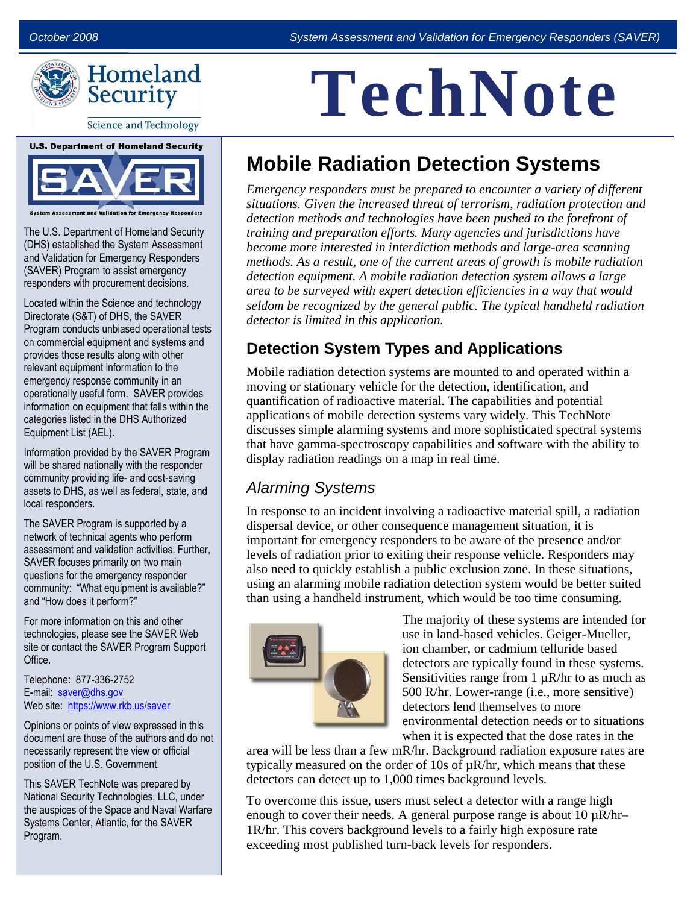

**Science and Technology** 



**System Assessment and Validation for Emergency Responders** 

 The U.S. Department of Homeland Security (DHS) established the System Assessment and Validation for Emergency Responders (SAVER) Program to assist emergency responders with procurement decisions.

 Located within the Science and technology Directorate (S&T) of DHS, the SAVER Program conducts unbiased operational tests on commercial equipment and systems and provides those results along with other relevant equipment information to the emergency response community in an operationally useful form. SAVER provides information on equipment that falls within the categories listed in the DHS Authorized Equipment List (AEL).

 Information provided by the SAVER Program will be shared nationally with the responder community providing life- and cost-saving assets to DHS, as well as federal, state, and local responders.

 The SAVER Program is supported by a network of technical agents who perform assessment and validation activities. Further, SAVER focuses primarily on two main questions for the emergency responder community: "What equipment is available?" and "How does it perform?"

 For more information on this and other technologies, please see the SAVER Web site or contact the SAVER Program Support Office.

Telephone: 877-336-2752 E-mail: saver@dhs.gov Web site: https://www.rkb.us/saver

 Opinions or points of view expressed in this document are those of the authors and do not necessarily represent the view or official position of the U.S. Government.

 National Security Technologies, LLC, under the auspices of the Space and Naval Warfare Systems Center, Atlantic, for the SAVER This SAVER TechNote was prepared by Program.

# **TechNote**

# **Mobile Radiation Detection Systems**

 *situations. Given the increased threat of terrorism, radiation protection and training and preparation efforts. Many agencies and jurisdictions have methods. As a result, one of the current areas of growth is mobile radiation detection equipment. A mobile radiation detection system allows a large detector is limited in this application. Emergency responders must be prepared to encounter a variety of different detection methods and technologies have been pushed to the forefront of become more interested in interdiction methods and large-area scanning area to be surveyed with expert detection efficiencies in a way that would seldom be recognized by the general public. The typical handheld radiation* 

## **Detection System Types and Applications**

 Mobile radiation detection systems are mounted to and operated within a that have gamma-spectroscopy capabilities and software with the ability to moving or stationary vehicle for the detection, identification, and quantification of radioactive material. The capabilities and potential applications of mobile detection systems vary widely. This TechNote discusses simple alarming systems and more sophisticated spectral systems display radiation readings on a map in real time.

## Alarming Systems

 important for emergency responders to be aware of the presence and/or In response to an incident involving a radioactive material spill, a radiation dispersal device, or other consequence management situation, it is levels of radiation prior to exiting their response vehicle. Responders may also need to quickly establish a public exclusion zone. In these situations, using an alarming mobile radiation detection system would be better suited than using a handheld instrument, which would be too time consuming.



 detectors are typically found in these systems. Sensitivities range from  $1 \mu R/hr$  to as much as when it is expected that the dose rates in the The majority of these systems are intended for use in land-based vehicles. Geiger-Mueller, ion chamber, or cadmium telluride based 500 R/hr. Lower-range (i.e., more sensitive) detectors lend themselves to more environmental detection needs or to situations

 area will be less than a few mR/hr. Background radiation exposure rates are typically measured on the order of 10s of µR/hr, which means that these detectors can detect up to 1,000 times background levels.

To overcome this issue, users must select a detector with a range high enough to cover their needs. A general purpose range is about  $10 \mu R/hr-$ 1R/hr. This covers background levels to a fairly high exposure rate exceeding most published turn-back levels for responders.